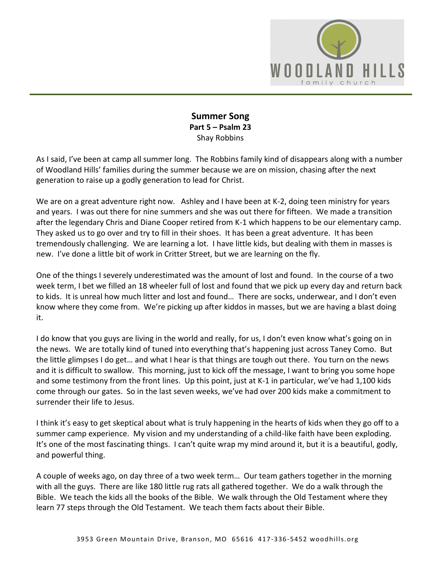

## **Summer Song Part 5 – Psalm 23**  Shay Robbins

As I said, I've been at camp all summer long. The Robbins family kind of disappears along with a number of Woodland Hills' families during the summer because we are on mission, chasing after the next generation to raise up a godly generation to lead for Christ.

We are on a great adventure right now. Ashley and I have been at K-2, doing teen ministry for years and years. I was out there for nine summers and she was out there for fifteen. We made a transition after the legendary Chris and Diane Cooper retired from K-1 which happens to be our elementary camp. They asked us to go over and try to fill in their shoes. It has been a great adventure. It has been tremendously challenging. We are learning a lot. I have little kids, but dealing with them in masses is new. I've done a little bit of work in Critter Street, but we are learning on the fly.

One of the things I severely underestimated was the amount of lost and found. In the course of a two week term, I bet we filled an 18 wheeler full of lost and found that we pick up every day and return back to kids. It is unreal how much litter and lost and found… There are socks, underwear, and I don't even know where they come from. We're picking up after kiddos in masses, but we are having a blast doing it.

I do know that you guys are living in the world and really, for us, I don't even know what's going on in the news. We are totally kind of tuned into everything that's happening just across Taney Como. But the little glimpses I do get… and what I hear is that things are tough out there. You turn on the news and it is difficult to swallow. This morning, just to kick off the message, I want to bring you some hope and some testimony from the front lines. Up this point, just at K-1 in particular, we've had 1,100 kids come through our gates. So in the last seven weeks, we've had over 200 kids make a commitment to surrender their life to Jesus.

I think it's easy to get skeptical about what is truly happening in the hearts of kids when they go off to a summer camp experience. My vision and my understanding of a child-like faith have been exploding. It's one of the most fascinating things. I can't quite wrap my mind around it, but it is a beautiful, godly, and powerful thing.

A couple of weeks ago, on day three of a two week term… Our team gathers together in the morning with all the guys. There are like 180 little rug rats all gathered together. We do a walk through the Bible. We teach the kids all the books of the Bible. We walk through the Old Testament where they learn 77 steps through the Old Testament. We teach them facts about their Bible.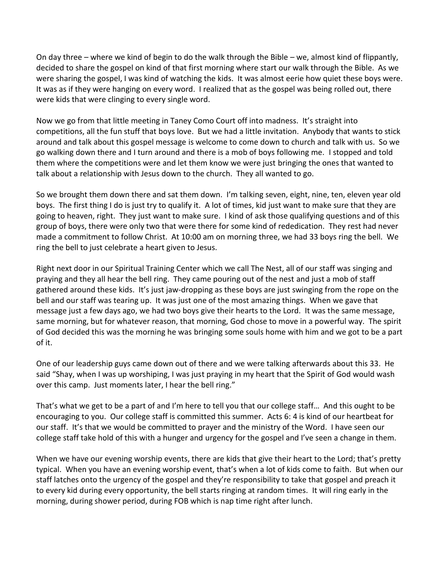On day three – where we kind of begin to do the walk through the Bible – we, almost kind of flippantly, decided to share the gospel on kind of that first morning where start our walk through the Bible. As we were sharing the gospel, I was kind of watching the kids. It was almost eerie how quiet these boys were. It was as if they were hanging on every word. I realized that as the gospel was being rolled out, there were kids that were clinging to every single word.

Now we go from that little meeting in Taney Como Court off into madness. It's straight into competitions, all the fun stuff that boys love. But we had a little invitation. Anybody that wants to stick around and talk about this gospel message is welcome to come down to church and talk with us. So we go walking down there and I turn around and there is a mob of boys following me. I stopped and told them where the competitions were and let them know we were just bringing the ones that wanted to talk about a relationship with Jesus down to the church. They all wanted to go.

So we brought them down there and sat them down. I'm talking seven, eight, nine, ten, eleven year old boys. The first thing I do is just try to qualify it. A lot of times, kid just want to make sure that they are going to heaven, right. They just want to make sure. I kind of ask those qualifying questions and of this group of boys, there were only two that were there for some kind of rededication. They rest had never made a commitment to follow Christ. At 10:00 am on morning three, we had 33 boys ring the bell. We ring the bell to just celebrate a heart given to Jesus.

Right next door in our Spiritual Training Center which we call The Nest, all of our staff was singing and praying and they all hear the bell ring. They came pouring out of the nest and just a mob of staff gathered around these kids. It's just jaw-dropping as these boys are just swinging from the rope on the bell and our staff was tearing up. It was just one of the most amazing things. When we gave that message just a few days ago, we had two boys give their hearts to the Lord. It was the same message, same morning, but for whatever reason, that morning, God chose to move in a powerful way. The spirit of God decided this was the morning he was bringing some souls home with him and we got to be a part of it.

One of our leadership guys came down out of there and we were talking afterwards about this 33. He said "Shay, when I was up worshiping, I was just praying in my heart that the Spirit of God would wash over this camp. Just moments later, I hear the bell ring."

That's what we get to be a part of and I'm here to tell you that our college staff… And this ought to be encouraging to you. Our college staff is committed this summer. Acts 6: 4 is kind of our heartbeat for our staff. It's that we would be committed to prayer and the ministry of the Word. I have seen our college staff take hold of this with a hunger and urgency for the gospel and I've seen a change in them.

When we have our evening worship events, there are kids that give their heart to the Lord; that's pretty typical. When you have an evening worship event, that's when a lot of kids come to faith. But when our staff latches onto the urgency of the gospel and they're responsibility to take that gospel and preach it to every kid during every opportunity, the bell starts ringing at random times. It will ring early in the morning, during shower period, during FOB which is nap time right after lunch.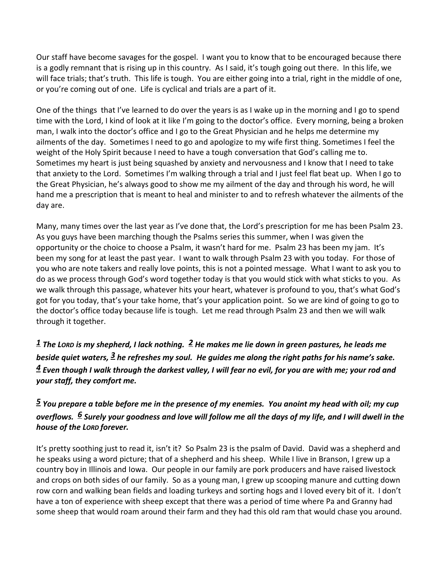Our staff have become savages for the gospel. I want you to know that to be encouraged because there is a godly remnant that is rising up in this country. As I said, it's tough going out there. In this life, we will face trials; that's truth. This life is tough. You are either going into a trial, right in the middle of one, or you're coming out of one. Life is cyclical and trials are a part of it.

One of the things that I've learned to do over the years is as I wake up in the morning and I go to spend time with the Lord, I kind of look at it like I'm going to the doctor's office. Every morning, being a broken man, I walk into the doctor's office and I go to the Great Physician and he helps me determine my ailments of the day. Sometimes I need to go and apologize to my wife first thing. Sometimes I feel the weight of the Holy Spirit because I need to have a tough conversation that God's calling me to. Sometimes my heart is just being squashed by anxiety and nervousness and I know that I need to take that anxiety to the Lord. Sometimes I'm walking through a trial and I just feel flat beat up. When I go to the Great Physician, he's always good to show me my ailment of the day and through his word, he will hand me a prescription that is meant to heal and minister to and to refresh whatever the ailments of the day are.

Many, many times over the last year as I've done that, the Lord's prescription for me has been Psalm 23. As you guys have been marching though the Psalms series this summer, when I was given the opportunity or the choice to choose a Psalm, it wasn't hard for me. Psalm 23 has been my jam. It's been my song for at least the past year. I want to walk through Psalm 23 with you today. For those of you who are note takers and really love points, this is not a pointed message. What I want to ask you to do as we process through God's word together today is that you would stick with what sticks to you. As we walk through this passage, whatever hits your heart, whatever is profound to you, that's what God's got for you today, that's your take home, that's your application point. So we are kind of going to go to the doctor's office today because life is tough. Let me read through Psalm 23 and then we will walk through it together.

*[1](http://www.studylight.org/desk/?q=ps%2023:1&t1=en_niv&sr=1) The LORD is my shepherd, I lack nothing. [2](http://www.studylight.org/desk/?q=ps%2023:2&t1=en_niv&sr=1) He makes me lie down in green pastures, he leads me beside quiet waters, [3](http://www.studylight.org/desk/?q=ps%2023:3&t1=en_niv&sr=1) he refreshes my soul. He guides me along the right paths for his name's sake. [4](http://www.studylight.org/desk/?q=ps%2023:4&t1=en_niv&sr=1) Even though I walk through the darkest valley, I will fear no evil, for you are with me; your rod and your staff, they comfort me.* 

## *[5](http://www.studylight.org/desk/?q=ps%2023:5&t1=en_niv&sr=1) You prepare a table before me in the presence of my enemies. You anoint my head with oil; my cup overflows. [6](http://www.studylight.org/desk/?q=ps%2023:6&t1=en_niv&sr=1) Surely your goodness and love will follow me all the days of my life, and I will dwell in the house of the LORD forever.*

It's pretty soothing just to read it, isn't it? So Psalm 23 is the psalm of David. David was a shepherd and he speaks using a word picture; that of a shepherd and his sheep. While I live in Branson, I grew up a country boy in Illinois and Iowa. Our people in our family are pork producers and have raised livestock and crops on both sides of our family. So as a young man, I grew up scooping manure and cutting down row corn and walking bean fields and loading turkeys and sorting hogs and I loved every bit of it. I don't have a ton of experience with sheep except that there was a period of time where Pa and Granny had some sheep that would roam around their farm and they had this old ram that would chase you around.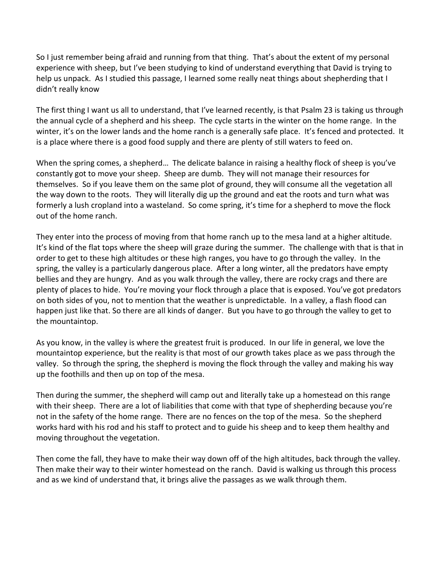So I just remember being afraid and running from that thing. That's about the extent of my personal experience with sheep, but I've been studying to kind of understand everything that David is trying to help us unpack. As I studied this passage, I learned some really neat things about shepherding that I didn't really know

The first thing I want us all to understand, that I've learned recently, is that Psalm 23 is taking us through the annual cycle of a shepherd and his sheep. The cycle starts in the winter on the home range. In the winter, it's on the lower lands and the home ranch is a generally safe place. It's fenced and protected. It is a place where there is a good food supply and there are plenty of still waters to feed on.

When the spring comes, a shepherd… The delicate balance in raising a healthy flock of sheep is you've constantly got to move your sheep. Sheep are dumb. They will not manage their resources for themselves. So if you leave them on the same plot of ground, they will consume all the vegetation all the way down to the roots. They will literally dig up the ground and eat the roots and turn what was formerly a lush cropland into a wasteland. So come spring, it's time for a shepherd to move the flock out of the home ranch.

They enter into the process of moving from that home ranch up to the mesa land at a higher altitude. It's kind of the flat tops where the sheep will graze during the summer. The challenge with that is that in order to get to these high altitudes or these high ranges, you have to go through the valley. In the spring, the valley is a particularly dangerous place. After a long winter, all the predators have empty bellies and they are hungry. And as you walk through the valley, there are rocky crags and there are plenty of places to hide. You're moving your flock through a place that is exposed. You've got predators on both sides of you, not to mention that the weather is unpredictable. In a valley, a flash flood can happen just like that. So there are all kinds of danger. But you have to go through the valley to get to the mountaintop.

As you know, in the valley is where the greatest fruit is produced. In our life in general, we love the mountaintop experience, but the reality is that most of our growth takes place as we pass through the valley. So through the spring, the shepherd is moving the flock through the valley and making his way up the foothills and then up on top of the mesa.

Then during the summer, the shepherd will camp out and literally take up a homestead on this range with their sheep. There are a lot of liabilities that come with that type of shepherding because you're not in the safety of the home range. There are no fences on the top of the mesa. So the shepherd works hard with his rod and his staff to protect and to guide his sheep and to keep them healthy and moving throughout the vegetation.

Then come the fall, they have to make their way down off of the high altitudes, back through the valley. Then make their way to their winter homestead on the ranch. David is walking us through this process and as we kind of understand that, it brings alive the passages as we walk through them.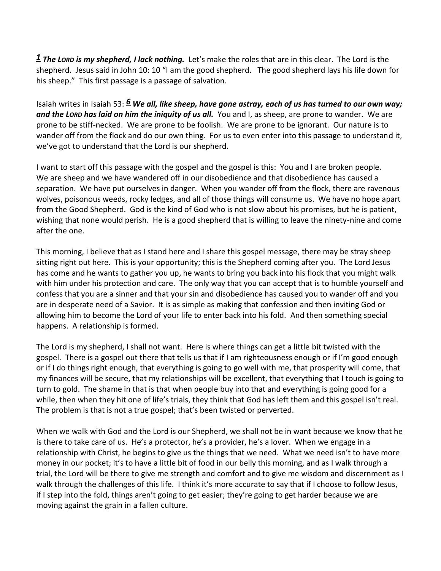*[1](http://www.studylight.org/desk/?q=ps%2023:1&t1=en_niv&sr=1) The LORD is my shepherd, I lack nothing.* Let's make the roles that are in this clear. The Lord is the shepherd. Jesus said in John 10: 10 "I am the good shepherd. The good shepherd lays his life down for his sheep." This first passage is a passage of salvation.

Isaiah writes in Isaiah 53: *[6](http://www.studylight.org/desk/?q=isa%2053:6&t1=en_niv&sr=1) We all, like sheep, have gone astray, each of us has turned to our own way; and the LORD has laid on him the iniquity of us all.* You and I, as sheep, are prone to wander. We are prone to be stiff-necked. We are prone to be foolish. We are prone to be ignorant. Our nature is to wander off from the flock and do our own thing. For us to even enter into this passage to understand it, we've got to understand that the Lord is our shepherd.

I want to start off this passage with the gospel and the gospel is this: You and I are broken people. We are sheep and we have wandered off in our disobedience and that disobedience has caused a separation. We have put ourselves in danger. When you wander off from the flock, there are ravenous wolves, poisonous weeds, rocky ledges, and all of those things will consume us. We have no hope apart from the Good Shepherd. God is the kind of God who is not slow about his promises, but he is patient, wishing that none would perish. He is a good shepherd that is willing to leave the ninety-nine and come after the one.

This morning, I believe that as I stand here and I share this gospel message, there may be stray sheep sitting right out here. This is your opportunity; this is the Shepherd coming after you. The Lord Jesus has come and he wants to gather you up, he wants to bring you back into his flock that you might walk with him under his protection and care. The only way that you can accept that is to humble yourself and confess that you are a sinner and that your sin and disobedience has caused you to wander off and you are in desperate need of a Savior. It is as simple as making that confession and then inviting God or allowing him to become the Lord of your life to enter back into his fold. And then something special happens. A relationship is formed.

The Lord is my shepherd, I shall not want. Here is where things can get a little bit twisted with the gospel. There is a gospel out there that tells us that if I am righteousness enough or if I'm good enough or if I do things right enough, that everything is going to go well with me, that prosperity will come, that my finances will be secure, that my relationships will be excellent, that everything that I touch is going to turn to gold. The shame in that is that when people buy into that and everything is going good for a while, then when they hit one of life's trials, they think that God has left them and this gospel isn't real. The problem is that is not a true gospel; that's been twisted or perverted.

When we walk with God and the Lord is our Shepherd, we shall not be in want because we know that he is there to take care of us. He's a protector, he's a provider, he's a lover. When we engage in a relationship with Christ, he begins to give us the things that we need. What we need isn't to have more money in our pocket; it's to have a little bit of food in our belly this morning, and as I walk through a trial, the Lord will be there to give me strength and comfort and to give me wisdom and discernment as I walk through the challenges of this life. I think it's more accurate to say that if I choose to follow Jesus, if I step into the fold, things aren't going to get easier; they're going to get harder because we are moving against the grain in a fallen culture.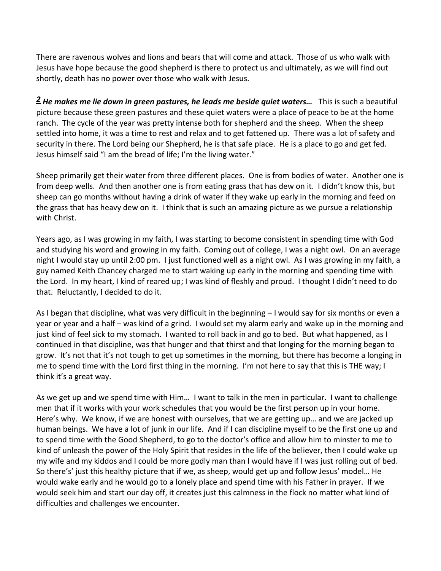There are ravenous wolves and lions and bears that will come and attack. Those of us who walk with Jesus have hope because the good shepherd is there to protect us and ultimately, as we will find out shortly, death has no power over those who walk with Jesus.

*[2](http://www.studylight.org/desk/?q=ps%2023:2&t1=en_niv&sr=1) He makes me lie down in green pastures, he leads me beside quiet waters…* This is such a beautiful picture because these green pastures and these quiet waters were a place of peace to be at the home ranch. The cycle of the year was pretty intense both for shepherd and the sheep. When the sheep settled into home, it was a time to rest and relax and to get fattened up. There was a lot of safety and security in there. The Lord being our Shepherd, he is that safe place. He is a place to go and get fed. Jesus himself said "I am the bread of life; I'm the living water."

Sheep primarily get their water from three different places. One is from bodies of water. Another one is from deep wells. And then another one is from eating grass that has dew on it. I didn't know this, but sheep can go months without having a drink of water if they wake up early in the morning and feed on the grass that has heavy dew on it. I think that is such an amazing picture as we pursue a relationship with Christ.

Years ago, as I was growing in my faith, I was starting to become consistent in spending time with God and studying his word and growing in my faith. Coming out of college, I was a night owl. On an average night I would stay up until 2:00 pm. I just functioned well as a night owl. As I was growing in my faith, a guy named Keith Chancey charged me to start waking up early in the morning and spending time with the Lord. In my heart, I kind of reared up; I was kind of fleshly and proud. I thought I didn't need to do that. Reluctantly, I decided to do it.

As I began that discipline, what was very difficult in the beginning – I would say for six months or even a year or year and a half – was kind of a grind. I would set my alarm early and wake up in the morning and just kind of feel sick to my stomach. I wanted to roll back in and go to bed. But what happened, as I continued in that discipline, was that hunger and that thirst and that longing for the morning began to grow. It's not that it's not tough to get up sometimes in the morning, but there has become a longing in me to spend time with the Lord first thing in the morning. I'm not here to say that this is THE way; I think it's a great way.

As we get up and we spend time with Him… I want to talk in the men in particular. I want to challenge men that if it works with your work schedules that you would be the first person up in your home. Here's why. We know, if we are honest with ourselves, that we are getting up… and we are jacked up human beings. We have a lot of junk in our life. And if I can discipline myself to be the first one up and to spend time with the Good Shepherd, to go to the doctor's office and allow him to minster to me to kind of unleash the power of the Holy Spirit that resides in the life of the believer, then I could wake up my wife and my kiddos and I could be more godly man than I would have if I was just rolling out of bed. So there's' just this healthy picture that if we, as sheep, would get up and follow Jesus' model… He would wake early and he would go to a lonely place and spend time with his Father in prayer. If we would seek him and start our day off, it creates just this calmness in the flock no matter what kind of difficulties and challenges we encounter.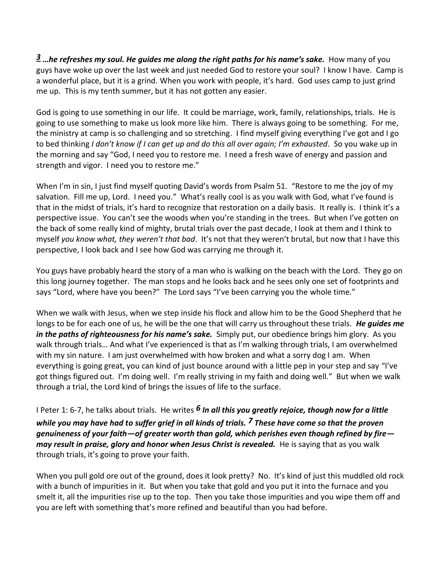*[3](http://www.studylight.org/desk/?q=ps%2023:3&t1=en_niv&sr=1) …he refreshes my soul. He guides me along the right paths for his name's sake.* How many of you guys have woke up over the last week and just needed God to restore your soul? I know I have. Camp is a wonderful place, but it is a grind. When you work with people, it's hard. God uses camp to just grind me up. This is my tenth summer, but it has not gotten any easier.

God is going to use something in our life. It could be marriage, work, family, relationships, trials. He is going to use something to make us look more like him. There is always going to be something. For me, the ministry at camp is so challenging and so stretching. I find myself giving everything I've got and I go to bed thinking *I don't know if I can get up and do this all over again; I'm exhausted*. So you wake up in the morning and say "God, I need you to restore me. I need a fresh wave of energy and passion and strength and vigor. I need you to restore me."

When I'm in sin, I just find myself quoting David's words from Psalm 51. "Restore to me the joy of my salvation. Fill me up, Lord. I need you." What's really cool is as you walk with God, what I've found is that in the midst of trials, it's hard to recognize that restoration on a daily basis. It really is. I think it's a perspective issue. You can't see the woods when you're standing in the trees. But when I've gotten on the back of some really kind of mighty, brutal trials over the past decade, I look at them and I think to myself *you know what, they weren't that bad*. It's not that they weren't brutal, but now that I have this perspective, I look back and I see how God was carrying me through it.

You guys have probably heard the story of a man who is walking on the beach with the Lord. They go on this long journey together. The man stops and he looks back and he sees only one set of footprints and says "Lord, where have you been?" The Lord says "I've been carrying you the whole time."

When we walk with Jesus, when we step inside his flock and allow him to be the Good Shepherd that he longs to be for each one of us, he will be the one that will carry us throughout these trials. *He guides me in the paths of righteousness for his name's sake.* Simply put, our obedience brings him glory. As you walk through trials… And what I've experienced is that as I'm walking through trials, I am overwhelmed with my sin nature. I am just overwhelmed with how broken and what a sorry dog I am. When everything is going great, you can kind of just bounce around with a little pep in your step and say "I've got things figured out. I'm doing well. I'm really striving in my faith and doing well." But when we walk through a trial, the Lord kind of brings the issues of life to the surface.

I Peter 1: 6-7, he talks about trials. He writes *[6](http://www.studylight.org/desk/?q=1pe%201:6&t1=en_niv&sr=1) In all this you greatly rejoice, though now for a little while you may have had to suffer grief in all kinds of trials. [7](http://www.studylight.org/desk/?q=1pe%201:7&t1=en_niv&sr=1) These have come so that the proven genuineness of your faith—of greater worth than gold, which perishes even though refined by fire may result in praise, glory and honor when Jesus Christ is revealed.* He is saying that as you walk through trials, it's going to prove your faith.

When you pull gold ore out of the ground, does it look pretty? No. It's kind of just this muddled old rock with a bunch of impurities in it. But when you take that gold and you put it into the furnace and you smelt it, all the impurities rise up to the top. Then you take those impurities and you wipe them off and you are left with something that's more refined and beautiful than you had before.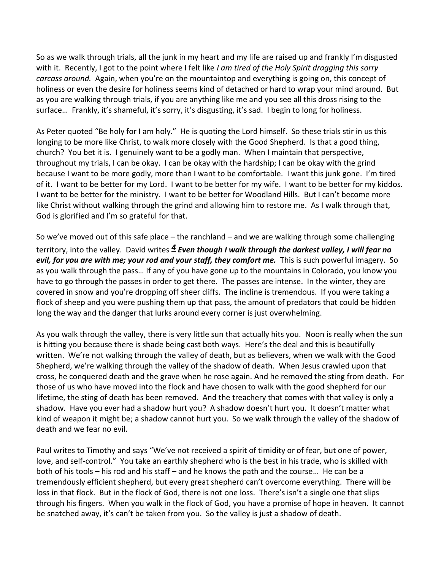So as we walk through trials, all the junk in my heart and my life are raised up and frankly I'm disgusted with it. Recently, I got to the point where I felt like *I am tired of the Holy Spirit dragging this sorry carcass around.* Again, when you're on the mountaintop and everything is going on, this concept of holiness or even the desire for holiness seems kind of detached or hard to wrap your mind around. But as you are walking through trials, if you are anything like me and you see all this dross rising to the surface… Frankly, it's shameful, it's sorry, it's disgusting, it's sad. I begin to long for holiness.

As Peter quoted "Be holy for I am holy." He is quoting the Lord himself. So these trials stir in us this longing to be more like Christ, to walk more closely with the Good Shepherd. Is that a good thing, church? You bet it is. I genuinely want to be a godly man. When I maintain that perspective, throughout my trials, I can be okay. I can be okay with the hardship; I can be okay with the grind because I want to be more godly, more than I want to be comfortable. I want this junk gone. I'm tired of it. I want to be better for my Lord. I want to be better for my wife. I want to be better for my kiddos. I want to be better for the ministry. I want to be better for Woodland Hills. But I can't become more like Christ without walking through the grind and allowing him to restore me. As I walk through that, God is glorified and I'm so grateful for that.

So we've moved out of this safe place – the ranchland – and we are walking through some challenging territory, into the valley. David writes *[4](http://www.studylight.org/desk/?q=ps%2023:4&t1=en_niv&sr=1) Even though I walk through the darkest valley, I will fear no evil, for you are with me; your rod and your staff, they comfort me.* This is such powerful imagery. So as you walk through the pass… If any of you have gone up to the mountains in Colorado, you know you have to go through the passes in order to get there. The passes are intense. In the winter, they are covered in snow and you're dropping off sheer cliffs. The incline is tremendous. If you were taking a flock of sheep and you were pushing them up that pass, the amount of predators that could be hidden long the way and the danger that lurks around every corner is just overwhelming.

As you walk through the valley, there is very little sun that actually hits you. Noon is really when the sun is hitting you because there is shade being cast both ways. Here's the deal and this is beautifully written. We're not walking through the valley of death, but as believers, when we walk with the Good Shepherd, we're walking through the valley of the shadow of death. When Jesus crawled upon that cross, he conquered death and the grave when he rose again. And he removed the sting from death. For those of us who have moved into the flock and have chosen to walk with the good shepherd for our lifetime, the sting of death has been removed. And the treachery that comes with that valley is only a shadow. Have you ever had a shadow hurt you? A shadow doesn't hurt you. It doesn't matter what kind of weapon it might be; a shadow cannot hurt you. So we walk through the valley of the shadow of death and we fear no evil.

Paul writes to Timothy and says "We've not received a spirit of timidity or of fear, but one of power, love, and self-control." You take an earthly shepherd who is the best in his trade, who is skilled with both of his tools – his rod and his staff – and he knows the path and the course… He can be a tremendously efficient shepherd, but every great shepherd can't overcome everything. There will be loss in that flock. But in the flock of God, there is not one loss. There's isn't a single one that slips through his fingers. When you walk in the flock of God, you have a promise of hope in heaven. It cannot be snatched away, it's can't be taken from you. So the valley is just a shadow of death.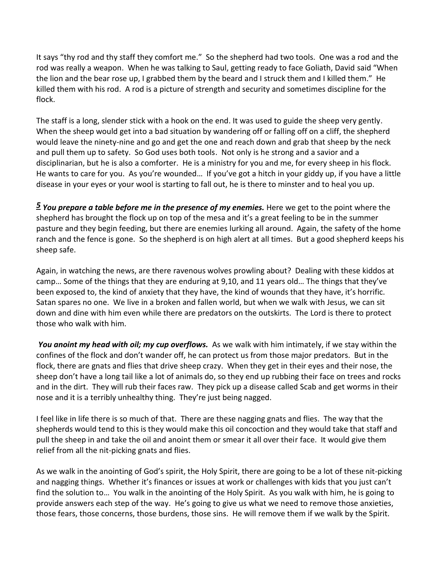It says "thy rod and thy staff they comfort me." So the shepherd had two tools. One was a rod and the rod was really a weapon. When he was talking to Saul, getting ready to face Goliath, David said "When the lion and the bear rose up, I grabbed them by the beard and I struck them and I killed them." He killed them with his rod. A rod is a picture of strength and security and sometimes discipline for the flock.

The staff is a long, slender stick with a hook on the end. It was used to guide the sheep very gently. When the sheep would get into a bad situation by wandering off or falling off on a cliff, the shepherd would leave the ninety-nine and go and get the one and reach down and grab that sheep by the neck and pull them up to safety. So God uses both tools. Not only is he strong and a savior and a disciplinarian, but he is also a comforter. He is a ministry for you and me, for every sheep in his flock. He wants to care for you. As you're wounded… If you've got a hitch in your giddy up, if you have a little disease in your eyes or your wool is starting to fall out, he is there to minster and to heal you up.

*[5](http://www.studylight.org/desk/?q=ps%2023:5&t1=en_niv&sr=1) You prepare a table before me in the presence of my enemies.* Here we get to the point where the shepherd has brought the flock up on top of the mesa and it's a great feeling to be in the summer pasture and they begin feeding, but there are enemies lurking all around. Again, the safety of the home ranch and the fence is gone. So the shepherd is on high alert at all times. But a good shepherd keeps his sheep safe.

Again, in watching the news, are there ravenous wolves prowling about? Dealing with these kiddos at camp… Some of the things that they are enduring at 9,10, and 11 years old… The things that they've been exposed to, the kind of anxiety that they have, the kind of wounds that they have, it's horrific. Satan spares no one. We live in a broken and fallen world, but when we walk with Jesus, we can sit down and dine with him even while there are predators on the outskirts. The Lord is there to protect those who walk with him.

You anoint my head with oil; my cup overflows. As we walk with him intimately, if we stay within the confines of the flock and don't wander off, he can protect us from those major predators. But in the flock, there are gnats and flies that drive sheep crazy. When they get in their eyes and their nose, the sheep don't have a long tail like a lot of animals do, so they end up rubbing their face on trees and rocks and in the dirt. They will rub their faces raw. They pick up a disease called Scab and get worms in their nose and it is a terribly unhealthy thing. They're just being nagged.

I feel like in life there is so much of that. There are these nagging gnats and flies. The way that the shepherds would tend to this is they would make this oil concoction and they would take that staff and pull the sheep in and take the oil and anoint them or smear it all over their face. It would give them relief from all the nit-picking gnats and flies.

As we walk in the anointing of God's spirit, the Holy Spirit, there are going to be a lot of these nit-picking and nagging things. Whether it's finances or issues at work or challenges with kids that you just can't find the solution to… You walk in the anointing of the Holy Spirit. As you walk with him, he is going to provide answers each step of the way. He's going to give us what we need to remove those anxieties, those fears, those concerns, those burdens, those sins. He will remove them if we walk by the Spirit.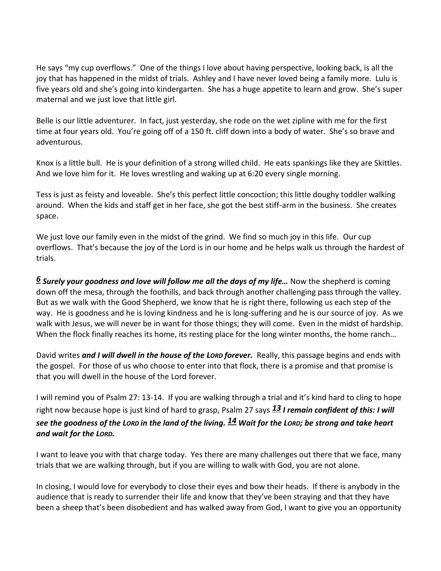He says "my cup overflows." One of the things I love about having perspective, looking back, is all the joy that has happened in the midst of trials. Ashley and I have never loved being a family more. Lulu is five years old and she's going into kindergarten. She has a huge appetite to learn and grow. She's super maternal and we just love that little girl.

Belle is our little adventurer. In fact, just yesterday, she rode on the wet zipline with me for the first time at four years old. You're going off of a 150 ft. cliff down into a body of water. She's so brave and adventurous.

Knox is a little bull. He is your definition of a strong willed child. He eats spankings like they are Skittles. And we love him for it. He loves wrestling and waking up at 6:20 every single morning.

Tess is just as feisty and loveable. She's this perfect little concoction; this little doughy toddler walking around. When the kids and staff get in her face, she got the best stiff-arm in the business. She creates space.

We just love our family even in the midst of the grind. We find so much joy in this life. Our cup overflows. That's because the joy of the Lord is in our home and he helps walk us through the hardest of trials.

*[6](http://www.studylight.org/desk/?q=ps%2023:6&t1=en_niv&sr=1) Surely your goodness and love will follow me all the days of my life…* Now the shepherd is coming down off the mesa, through the foothills, and back through another challenging pass through the valley. But as we walk with the Good Shepherd, we know that he is right there, following us each step of the way. He is goodness and he is loving kindness and he is long-suffering and he is our source of joy. As we walk with Jesus, we will never be in want for those things; they will come. Even in the midst of hardship. When the flock finally reaches its home, its resting place for the long winter months, the home ranch...

David writes *and I will dwell in the house of the LORD forever.* Really, this passage begins and ends with the gospel. For those of us who choose to enter into that flock, there is a promise and that promise is that you will dwell in the house of the Lord forever.

I will remind you of Psalm 27: 13-14. If you are walking through a trial and it's kind hard to cling to hope right now because hope is just kind of hard to grasp, Psalm 27 says *[13](http://www.studylight.org/desk/?q=ps%2027:13&t1=en_niv&sr=1) I remain confident of this: I will see the goodness of the LORD in the land of the living. [14](http://www.studylight.org/desk/?q=ps%2027:14&t1=en_niv&sr=1) Wait for the LORD; be strong and take heart and wait for the LORD.*

I want to leave you with that charge today. Yes there are many challenges out there that we face, many trials that we are walking through, but if you are willing to walk with God, you are not alone.

In closing, I would love for everybody to close their eyes and bow their heads. If there is anybody in the audience that is ready to surrender their life and know that they've been straying and that they have been a sheep that's been disobedient and has walked away from God, I want to give you an opportunity